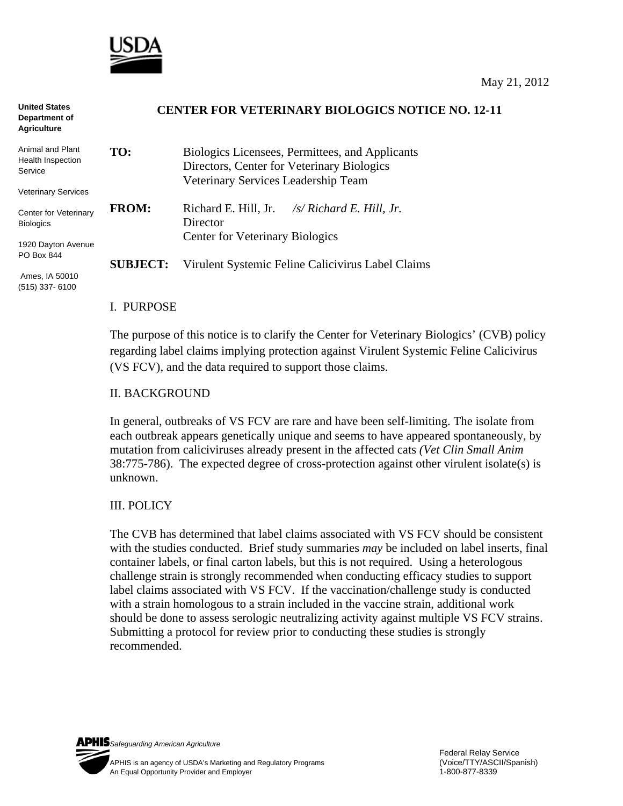

| <b>United States</b><br>Department of<br><b>Agriculture</b> | <b>CENTER FOR VETERINARY BIOLOGICS NOTICE NO. 12-11</b> |                                                                                               |
|-------------------------------------------------------------|---------------------------------------------------------|-----------------------------------------------------------------------------------------------|
| Animal and Plant<br>Health Inspection<br>Service            | TO:                                                     | Biologics Licensees, Permittees, and Applicants<br>Directors, Center for Veterinary Biologics |
| <b>Veterinary Services</b>                                  |                                                         | Veterinary Services Leadership Team                                                           |
| Center for Veterinary<br><b>Biologics</b>                   | <b>FROM:</b>                                            | Richard E. Hill, Jr. $\frac{f}{S}$ Richard E. Hill, Jr.<br>Director                           |
|                                                             |                                                         | <b>Center for Veterinary Biologics</b>                                                        |
| 1920 Dayton Avenue<br>PO Box 844                            | <b>SUBJECT:</b>                                         | Virulent Systemic Feline Calicivirus Label Claims                                             |
| Ames, IA 50010<br>$(515)$ 337-6100                          |                                                         |                                                                                               |

#### I. PURPOSE

The purpose of this notice is to clarify the Center for Veterinary Biologics' (CVB) policy regarding label claims implying protection against Virulent Systemic Feline Calicivirus (VS FCV), and the data required to support those claims.

### II. BACKGROUND

In general, outbreaks of VS FCV are rare and have been self-limiting. The isolate from each outbreak appears genetically unique and seems to have appeared spontaneously, by mutation from caliciviruses already present in the affected cats *(Vet Clin Small Anim* 38:775-786). The expected degree of cross-protection against other virulent isolate(s) is unknown.

## III. POLICY

The CVB has determined that label claims associated with VS FCV should be consistent with the studies conducted. Brief study summaries *may* be included on label inserts, final container labels, or final carton labels, but this is not required. Using a heterologous challenge strain is strongly recommended when conducting efficacy studies to support label claims associated with VS FCV. If the vaccination/challenge study is conducted with a strain homologous to a strain included in the vaccine strain, additional work should be done to assess serologic neutralizing activity against multiple VS FCV strains. Submitting a protocol for review prior to conducting these studies is strongly recommended.

*Safeguarding American Agriculture*  APHIS is an agency of USDA's Marketing and Regulatory Programs(Voice/TTY/ASCII/Spanish) An Equal Opportunity Provider and Employer